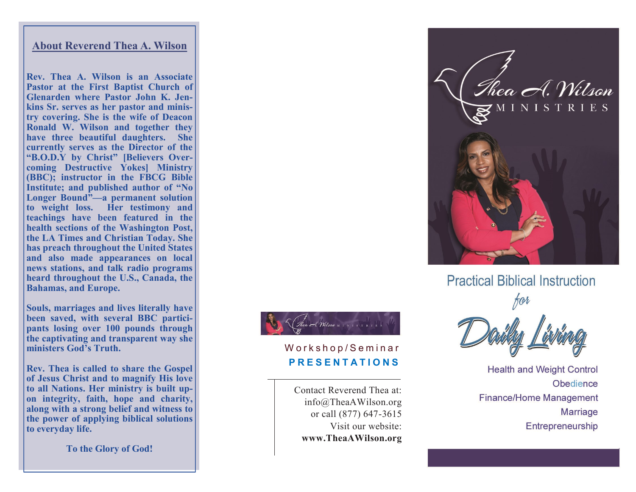### **About Reverend Thea A. Wilson**

**Rev. Thea A. Wilson is an Associate Pastor at the First Baptist Church of Glenarden where Pastor John K. Jenkins Sr. serves as her pastor and ministry covering. She is the wife of Deacon Ronald W. Wilson and together they have three beautiful daughters. She currently serves as the Director of the "B.O.D.Y by Christ" [Believers Overcoming Destructive Yokes] Ministry (BBC); instructor in the FBCG Bible**  Institute; and published author of "No **Longer Bound " —a permanent solution to weight loss. Her testimony and teachings have been featured in the health sections of the Washington Post, the LA Times and Christian Today. She has preach throughout the United States and also made appearances on local news stations, and talk radio programs heard throughout the U.S., Canada, the Bahamas, and Europe.** 

**Souls, marriages and lives literally have been saved, with several BBC participants losing over 100 pounds through the captivating and transparent way she ministers God 's Truth.** 

**Rev. Thea is called to share the Gospel of Jesus Christ and to magnify His love to all Nations. Her ministry is built upon integrity, faith, hope and charity, along with a strong belief and witness to the power of applying biblical solutions to everyday life.**

**To the Glory of God!**



# Workshop/Seminar **P R E S E N T A T I O N S**

Contact Reverend Thea at: info@TheaAWilson.org or call (877) 647 -3615 Visit our website: **www.TheaAWilson.org**



**Practical Biblical Instruction** 

**Health and Weight Control** Obedience **Finance/Home Management Marriage** Entrepreneurship